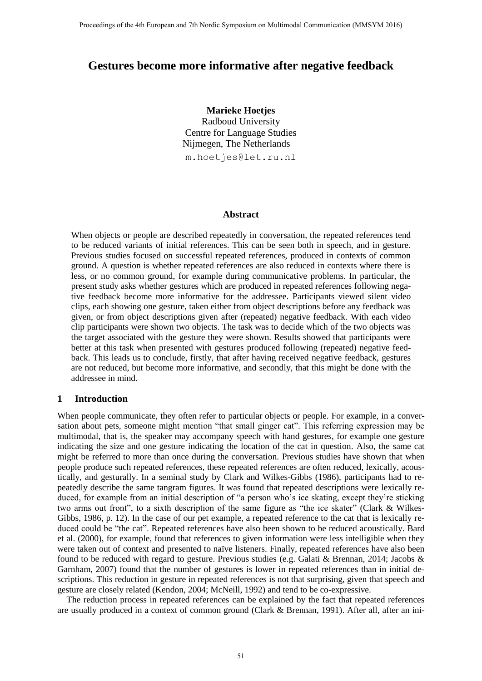# **Gestures become more informative after negative feedback**

**Marieke Hoetjes** Radboud University Centre for Language Studies Nijmegen, The Netherlands m.hoetjes@let.ru.nl

#### **Abstract**

When objects or people are described repeatedly in conversation, the repeated references tend to be reduced variants of initial references. This can be seen both in speech, and in gesture. Previous studies focused on successful repeated references, produced in contexts of common ground. A question is whether repeated references are also reduced in contexts where there is less, or no common ground, for example during communicative problems. In particular, the present study asks whether gestures which are produced in repeated references following negative feedback become more informative for the addressee. Participants viewed silent video clips, each showing one gesture, taken either from object descriptions before any feedback was given, or from object descriptions given after (repeated) negative feedback. With each video clip participants were shown two objects. The task was to decide which of the two objects was the target associated with the gesture they were shown. Results showed that participants were better at this task when presented with gestures produced following (repeated) negative feedback. This leads us to conclude, firstly, that after having received negative feedback, gestures are not reduced, but become more informative, and secondly, that this might be done with the addressee in mind.

#### **1 Introduction**

When people communicate, they often refer to particular objects or people. For example, in a conversation about pets, someone might mention "that small ginger cat". This referring expression may be multimodal, that is, the speaker may accompany speech with hand gestures, for example one gesture indicating the size and one gesture indicating the location of the cat in question. Also, the same cat might be referred to more than once during the conversation. Previous studies have shown that when people produce such repeated references, these repeated references are often reduced, lexically, acoustically, and gesturally. In a seminal study by Clark and Wilkes-Gibbs (1986), participants had to repeatedly describe the same tangram figures. It was found that repeated descriptions were lexically reduced, for example from an initial description of "a person who's ice skating, except they're sticking two arms out front", to a sixth description of the same figure as "the ice skater" (Clark & Wilkes-Gibbs, 1986, p. 12). In the case of our pet example, a repeated reference to the cat that is lexically reduced could be "the cat". Repeated references have also been shown to be reduced acoustically. Bard et al. (2000), for example, found that references to given information were less intelligible when they were taken out of context and presented to naïve listeners. Finally, repeated references have also been found to be reduced with regard to gesture. Previous studies (e.g. Galati & Brennan, 2014; Jacobs & Garnham, 2007) found that the number of gestures is lower in repeated references than in initial descriptions. This reduction in gesture in repeated references is not that surprising, given that speech and gesture are closely related (Kendon, 2004; McNeill, 1992) and tend to be co-expressive.

The reduction process in repeated references can be explained by the fact that repeated references are usually produced in a context of common ground (Clark & Brennan, 1991). After all, after an ini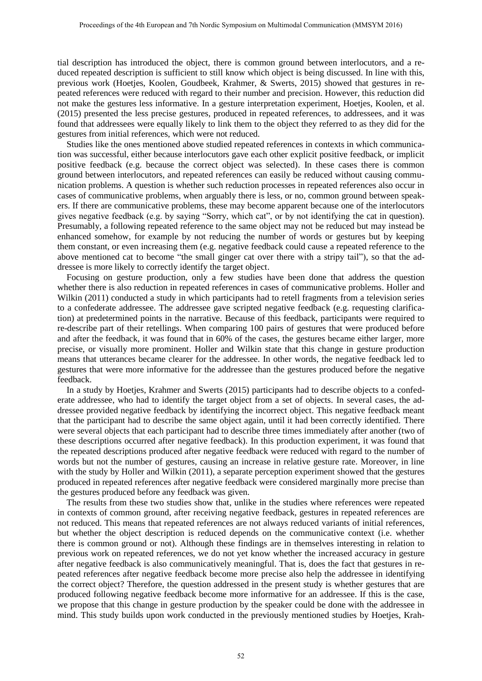tial description has introduced the object, there is common ground between interlocutors, and a reduced repeated description is sufficient to still know which object is being discussed. In line with this, previous work (Hoetjes, Koolen, Goudbeek, Krahmer, & Swerts, 2015) showed that gestures in repeated references were reduced with regard to their number and precision. However, this reduction did not make the gestures less informative. In a gesture interpretation experiment, Hoetjes, Koolen, et al. (2015) presented the less precise gestures, produced in repeated references, to addressees, and it was found that addressees were equally likely to link them to the object they referred to as they did for the gestures from initial references, which were not reduced.

Studies like the ones mentioned above studied repeated references in contexts in which communication was successful, either because interlocutors gave each other explicit positive feedback, or implicit positive feedback (e.g. because the correct object was selected). In these cases there is common ground between interlocutors, and repeated references can easily be reduced without causing communication problems. A question is whether such reduction processes in repeated references also occur in cases of communicative problems, when arguably there is less, or no, common ground between speakers. If there are communicative problems, these may become apparent because one of the interlocutors gives negative feedback (e.g. by saying "Sorry, which cat", or by not identifying the cat in question). Presumably, a following repeated reference to the same object may not be reduced but may instead be enhanced somehow, for example by not reducing the number of words or gestures but by keeping them constant, or even increasing them (e.g. negative feedback could cause a repeated reference to the above mentioned cat to become "the small ginger cat over there with a stripy tail"), so that the addressee is more likely to correctly identify the target object.

Focusing on gesture production, only a few studies have been done that address the question whether there is also reduction in repeated references in cases of communicative problems. Holler and Wilkin (2011) conducted a study in which participants had to retell fragments from a television series to a confederate addressee. The addressee gave scripted negative feedback (e.g. requesting clarification) at predetermined points in the narrative. Because of this feedback, participants were required to re-describe part of their retellings. When comparing 100 pairs of gestures that were produced before and after the feedback, it was found that in 60% of the cases, the gestures became either larger, more precise, or visually more prominent. Holler and Wilkin state that this change in gesture production means that utterances became clearer for the addressee. In other words, the negative feedback led to gestures that were more informative for the addressee than the gestures produced before the negative feedback.

In a study by Hoetjes, Krahmer and Swerts (2015) participants had to describe objects to a confederate addressee, who had to identify the target object from a set of objects. In several cases, the addressee provided negative feedback by identifying the incorrect object. This negative feedback meant that the participant had to describe the same object again, until it had been correctly identified. There were several objects that each participant had to describe three times immediately after another (two of these descriptions occurred after negative feedback). In this production experiment, it was found that the repeated descriptions produced after negative feedback were reduced with regard to the number of words but not the number of gestures, causing an increase in relative gesture rate. Moreover, in line with the study by Holler and Wilkin (2011), a separate perception experiment showed that the gestures produced in repeated references after negative feedback were considered marginally more precise than the gestures produced before any feedback was given.

The results from these two studies show that, unlike in the studies where references were repeated in contexts of common ground, after receiving negative feedback, gestures in repeated references are not reduced. This means that repeated references are not always reduced variants of initial references, but whether the object description is reduced depends on the communicative context (i.e. whether there is common ground or not). Although these findings are in themselves interesting in relation to previous work on repeated references, we do not yet know whether the increased accuracy in gesture after negative feedback is also communicatively meaningful. That is, does the fact that gestures in repeated references after negative feedback become more precise also help the addressee in identifying the correct object? Therefore, the question addressed in the present study is whether gestures that are produced following negative feedback become more informative for an addressee. If this is the case, we propose that this change in gesture production by the speaker could be done with the addressee in mind. This study builds upon work conducted in the previously mentioned studies by Hoetjes, Krah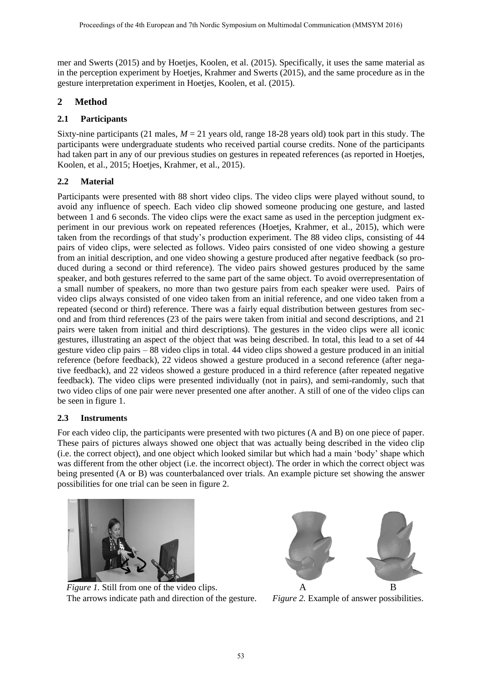mer and Swerts (2015) and by Hoetjes, Koolen, et al. (2015). Specifically, it uses the same material as in the perception experiment by Hoetjes, Krahmer and Swerts (2015), and the same procedure as in the gesture interpretation experiment in Hoetjes, Koolen, et al. (2015).

## **2 Method**

### **2.1 Participants**

Sixty-nine participants (21 males,  $M = 21$  years old, range 18-28 years old) took part in this study. The participants were undergraduate students who received partial course credits. None of the participants had taken part in any of our previous studies on gestures in repeated references (as reported in Hoetjes, Koolen, et al., 2015; Hoetjes, Krahmer, et al., 2015).

## **2.2 Material**

Participants were presented with 88 short video clips. The video clips were played without sound, to avoid any influence of speech. Each video clip showed someone producing one gesture, and lasted between 1 and 6 seconds. The video clips were the exact same as used in the perception judgment experiment in our previous work on repeated references (Hoetjes, Krahmer, et al., 2015), which were taken from the recordings of that study's production experiment. The 88 video clips, consisting of 44 pairs of video clips, were selected as follows. Video pairs consisted of one video showing a gesture from an initial description, and one video showing a gesture produced after negative feedback (so produced during a second or third reference). The video pairs showed gestures produced by the same speaker, and both gestures referred to the same part of the same object. To avoid overrepresentation of a small number of speakers, no more than two gesture pairs from each speaker were used. Pairs of video clips always consisted of one video taken from an initial reference, and one video taken from a repeated (second or third) reference. There was a fairly equal distribution between gestures from second and from third references (23 of the pairs were taken from initial and second descriptions, and 21 pairs were taken from initial and third descriptions). The gestures in the video clips were all iconic gestures, illustrating an aspect of the object that was being described. In total, this lead to a set of 44 gesture video clip pairs – 88 video clips in total. 44 video clips showed a gesture produced in an initial reference (before feedback), 22 videos showed a gesture produced in a second reference (after negative feedback), and 22 videos showed a gesture produced in a third reference (after repeated negative feedback). The video clips were presented individually (not in pairs), and semi-randomly, such that two video clips of one pair were never presented one after another. A still of one of the video clips can be seen in figure 1.

#### **2.3 Instruments**

For each video clip, the participants were presented with two pictures (A and B) on one piece of paper. These pairs of pictures always showed one object that was actually being described in the video clip (i.e. the correct object), and one object which looked similar but which had a main 'body' shape which was different from the other object (i.e. the incorrect object). The order in which the correct object was being presented (A or B) was counterbalanced over trials. An example picture set showing the answer possibilities for one trial can be seen in figure 2.



*Figure 1.* Still from one of the video clips. A B The arrows indicate path and direction of the gesture. *Figure 2.* Example of answer possibilities.

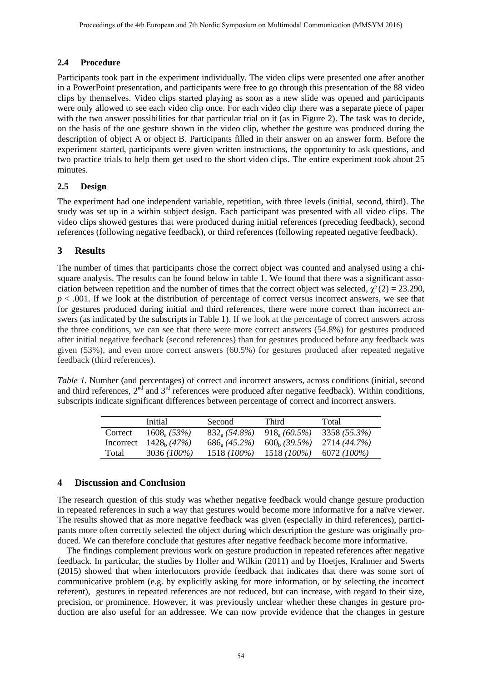## **2.4 Procedure**

Participants took part in the experiment individually. The video clips were presented one after another in a PowerPoint presentation, and participants were free to go through this presentation of the 88 video clips by themselves. Video clips started playing as soon as a new slide was opened and participants were only allowed to see each video clip once. For each video clip there was a separate piece of paper with the two answer possibilities for that particular trial on it (as in Figure 2). The task was to decide, on the basis of the one gesture shown in the video clip, whether the gesture was produced during the description of object A or object B. Participants filled in their answer on an answer form. Before the experiment started, participants were given written instructions, the opportunity to ask questions, and two practice trials to help them get used to the short video clips. The entire experiment took about 25 minutes.

### **2.5 Design**

The experiment had one independent variable, repetition, with three levels (initial, second, third). The study was set up in a within subject design. Each participant was presented with all video clips. The video clips showed gestures that were produced during initial references (preceding feedback), second references (following negative feedback), or third references (following repeated negative feedback).

## **3 Results**

The number of times that participants chose the correct object was counted and analysed using a chisquare analysis. The results can be found below in table 1. We found that there was a significant association between repetition and the number of times that the correct object was selected,  $\chi^2(2) = 23.290$ ,  $p < .001$ . If we look at the distribution of percentage of correct versus incorrect answers, we see that for gestures produced during initial and third references, there were more correct than incorrect answers (as indicated by the subscripts in Table 1). If we look at the percentage of correct answers across the three conditions, we can see that there were more correct answers (54.8%) for gestures produced after initial negative feedback (second references) than for gestures produced before any feedback was given (53%), and even more correct answers (60.5%) for gestures produced after repeated negative feedback (third references).

*Table 1.* Number (and percentages) of correct and incorrect answers, across conditions (initial, second and third references,  $2^{nd}$  and  $3^{rd}$  references were produced after negative feedback). Within conditions, subscripts indicate significant differences between percentage of correct and incorrect answers.

|         | Initial                  | Second                | Third                 | Total        |
|---------|--------------------------|-----------------------|-----------------------|--------------|
| Correct | $1608_{\rm a}$ (53%)     | $832_{\rm a}$ (54.8%) | $918_{\circ}$ (60.5%) | 3358 (55.3%) |
|         | Incorrect $1428_h (47%)$ | $686_a (45.2\%)$      | $600_h (39.5\%)$      | 2714 (44.7%) |
| Total   | 3036 (100%)              | 1518 (100%)           | 1518 (100%)           | 6072 (100%)  |

## **4 Discussion and Conclusion**

The research question of this study was whether negative feedback would change gesture production in repeated references in such a way that gestures would become more informative for a naïve viewer. The results showed that as more negative feedback was given (especially in third references), participants more often correctly selected the object during which description the gesture was originally produced. We can therefore conclude that gestures after negative feedback become more informative.

The findings complement previous work on gesture production in repeated references after negative feedback. In particular, the studies by Holler and Wilkin (2011) and by Hoetjes, Krahmer and Swerts (2015) showed that when interlocutors provide feedback that indicates that there was some sort of communicative problem (e.g. by explicitly asking for more information, or by selecting the incorrect referent), gestures in repeated references are not reduced, but can increase, with regard to their size, precision, or prominence. However, it was previously unclear whether these changes in gesture production are also useful for an addressee. We can now provide evidence that the changes in gesture